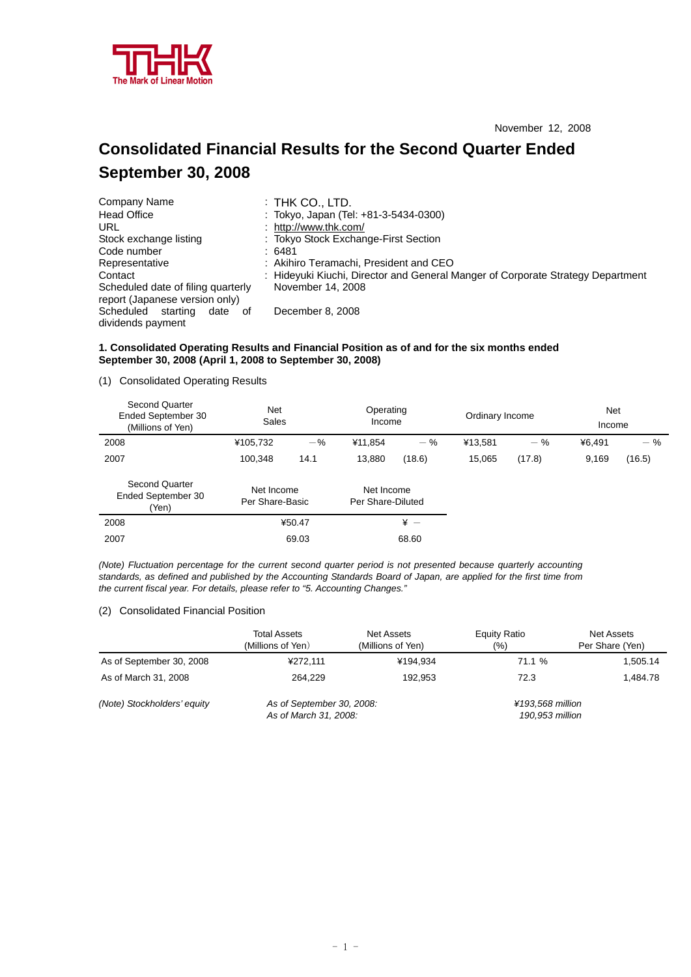

# **Consolidated Financial Results for the Second Quarter Ended September 30, 2008**

| Company Name                       | $:$ Thk Co., LTD.                                                               |
|------------------------------------|---------------------------------------------------------------------------------|
| <b>Head Office</b>                 | : Tokyo, Japan (Tel: +81-3-5434-0300)                                           |
| URL                                | : http://www.thk.com/                                                           |
| Stock exchange listing             | : Tokyo Stock Exchange-First Section                                            |
| Code number                        | : 6481                                                                          |
| Representative                     | : Akihiro Teramachi, President and CEO                                          |
| Contact                            | : Hideyuki Kiuchi, Director and General Manger of Corporate Strategy Department |
| Scheduled date of filing quarterly | November 14, 2008                                                               |
| report (Japanese version only)     |                                                                                 |
| Scheduled<br>starting<br>date of   | December 8, 2008                                                                |
| dividends payment                  |                                                                                 |

### **1. Consolidated Operating Results and Financial Position as of and for the six months ended September 30, 2008 (April 1, 2008 to September 30, 2008)**

(1) Consolidated Operating Results

| <b>Second Quarter</b><br>Ended September 30<br>(Millions of Yen) | <b>Net</b><br>Sales           |        | Operating<br>Income             |                 | Ordinary Income |        | <b>Net</b><br>Income |        |
|------------------------------------------------------------------|-------------------------------|--------|---------------------------------|-----------------|-----------------|--------|----------------------|--------|
| 2008                                                             | ¥105,732                      | $-$ %  | ¥11,854                         | $-$ %           | ¥13,581         | $-$ %  | ¥6.491               | $-$ %  |
| 2007                                                             | 100.348                       | 14.1   | 13,880                          | (18.6)          | 15.065          | (17.8) | 9,169                | (16.5) |
| <b>Second Quarter</b><br>Ended September 30<br>(Yen)             | Net Income<br>Per Share-Basic |        | Net Income<br>Per Share-Diluted |                 |                 |        |                      |        |
| 2008                                                             |                               | ¥50.47 |                                 | $\frac{1}{2}$ - |                 |        |                      |        |
| 2007                                                             |                               | 69.03  |                                 | 68.60           |                 |        |                      |        |

*(Note) Fluctuation percentage for the current second quarter period is not presented because quarterly accounting standards, as defined and published by the Accounting Standards Board of Japan, are applied for the first time from the current fiscal year. For details, please refer to "5. Accounting Changes."* 

#### (2) Consolidated Financial Position

|                             | <b>Total Assets</b><br>(Millions of Yen)           | Net Assets<br>(Millions of Yen) | Equity Ratio<br>(%)                 | Net Assets<br>Per Share (Yen) |
|-----------------------------|----------------------------------------------------|---------------------------------|-------------------------------------|-------------------------------|
| As of September 30, 2008    | ¥272.111                                           | ¥194.934                        | 71.1 %                              | 1,505.14                      |
| As of March 31, 2008        | 264.229                                            | 192.953                         | 72.3                                | 1.484.78                      |
| (Note) Stockholders' equity | As of September 30, 2008:<br>As of March 31, 2008: |                                 | ¥193.568 million<br>190,953 million |                               |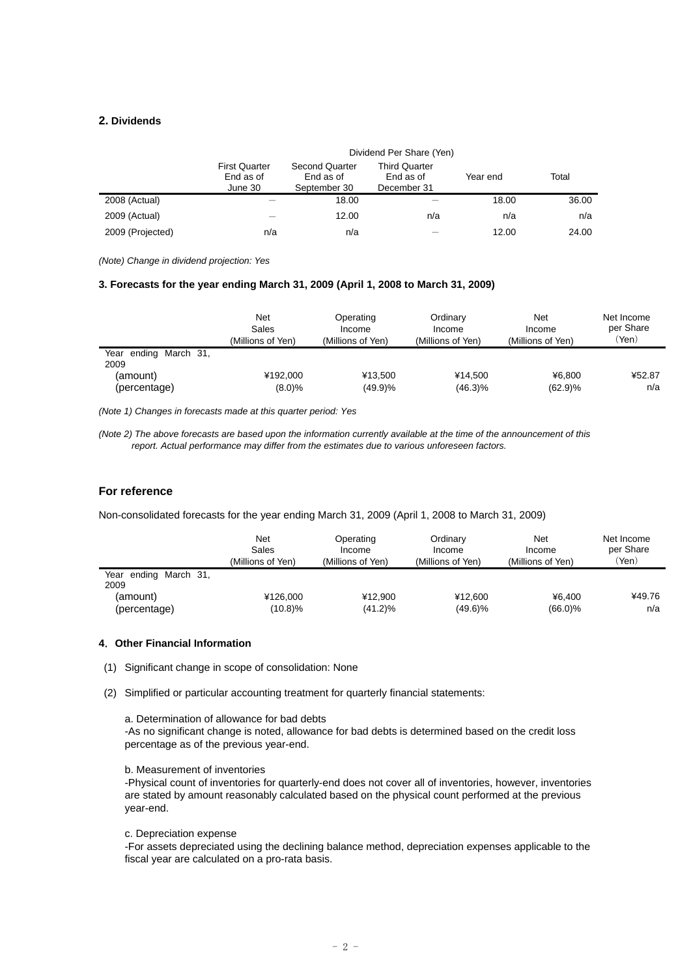# **2. Dividends**

|                  |                                              | Dividend Per Share (Yen)                           |                                                  |          |       |  |  |  |
|------------------|----------------------------------------------|----------------------------------------------------|--------------------------------------------------|----------|-------|--|--|--|
|                  | <b>First Quarter</b><br>End as of<br>June 30 | <b>Second Quarter</b><br>End as of<br>September 30 | <b>Third Quarter</b><br>End as of<br>December 31 | Year end | Total |  |  |  |
| 2008 (Actual)    |                                              | 18.00                                              |                                                  | 18.00    | 36.00 |  |  |  |
| 2009 (Actual)    |                                              | 12.00                                              | n/a                                              | n/a      | n/a   |  |  |  |
| 2009 (Projected) | n/a                                          | n/a                                                |                                                  | 12.00    | 24.00 |  |  |  |

*(Note) Change in dividend projection: Yes* 

#### **3. Forecasts for the year ending March 31, 2009 (April 1, 2008 to March 31, 2009)**

|                               | Net<br>Sales<br>(Millions of Yen) | Operating<br>Income<br>(Millions of Yen) | Ordinary<br>Income<br>(Millions of Yen) | Net<br>Income<br>(Millions of Yen). | Net Income<br>per Share<br>′Yen) |
|-------------------------------|-----------------------------------|------------------------------------------|-----------------------------------------|-------------------------------------|----------------------------------|
| Year ending March 31,<br>2009 |                                   |                                          |                                         |                                     |                                  |
| (amount)                      | ¥192.000                          | ¥13.500                                  | ¥14.500                                 | ¥6.800                              | ¥52.87                           |
| (percentage)                  | (8.0)%                            | (49.9)%                                  | $(46.3)\%$                              | (62.9)%                             | n/a                              |

*(Note 1) Changes in forecasts made at this quarter period: Yes* 

*(Note 2) The above forecasts are based upon the information currently available at the time of the announcement of this report. Actual performance may differ from the estimates due to various unforeseen factors.* 

# **For reference**

Non-consolidated forecasts for the year ending March 31, 2009 (April 1, 2008 to March 31, 2009)

|                               | Net<br>Sales<br>(Millions of Yen) | Operating<br>Income<br>(Millions of Yen) | Ordinary<br>Income<br>(Millions of Yen) | Net<br>Income<br>(Millions of Yen) | Net Income<br>per Share<br>(Yen) |
|-------------------------------|-----------------------------------|------------------------------------------|-----------------------------------------|------------------------------------|----------------------------------|
| Year ending March 31,<br>2009 |                                   |                                          |                                         |                                    |                                  |
| (amount)                      | ¥126,000                          | ¥12.900                                  | ¥12.600                                 | ¥6.400                             | ¥49.76                           |
| (percentage)                  | (10.8)%                           | $(41.2)\%$                               | $(49.6)\%$                              | $(66.0)\%$                         | n/a                              |

### **4**.**Other Financial Information**

- (1) Significant change in scope of consolidation: None
- (2) Simplified or particular accounting treatment for quarterly financial statements:
	- a. Determination of allowance for bad debts

-As no significant change is noted, allowance for bad debts is determined based on the credit loss percentage as of the previous year-end.

b. Measurement of inventories

-Physical count of inventories for quarterly-end does not cover all of inventories, however, inventories are stated by amount reasonably calculated based on the physical count performed at the previous year-end.

#### c. Depreciation expense

-For assets depreciated using the declining balance method, depreciation expenses applicable to the fiscal year are calculated on a pro-rata basis.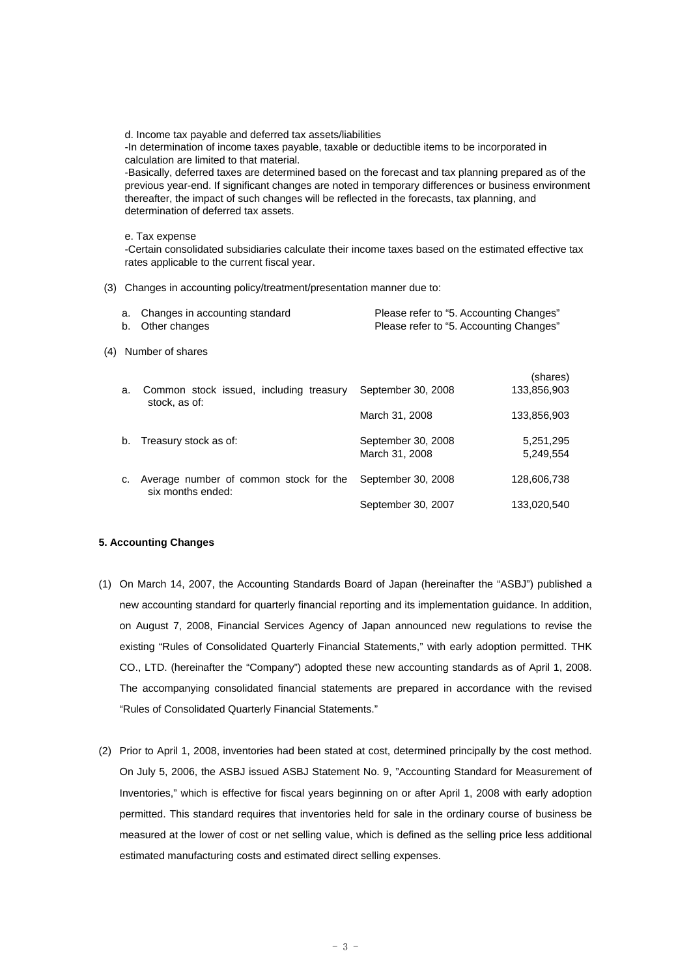d. Income tax payable and deferred tax assets/liabilities -In determination of income taxes payable, taxable or deductible items to be incorporated in calculation are limited to that material.

-Basically, deferred taxes are determined based on the forecast and tax planning prepared as of the previous year-end. If significant changes are noted in temporary differences or business environment thereafter, the impact of such changes will be reflected in the forecasts, tax planning, and determination of deferred tax assets.

#### e. Tax expense

-Certain consolidated subsidiaries calculate their income taxes based on the estimated effective tax rates applicable to the current fiscal year.

(3) Changes in accounting policy/treatment/presentation manner due to:

|     | b. | a. Changes in accounting standard<br>Other changes          | Please refer to "5. Accounting Changes"<br>Please refer to "5. Accounting Changes" |                         |
|-----|----|-------------------------------------------------------------|------------------------------------------------------------------------------------|-------------------------|
| (4) |    | Number of shares                                            |                                                                                    |                         |
|     | a. | Common stock issued, including treasury<br>stock, as of:    | September 30, 2008                                                                 | (shares)<br>133,856,903 |
|     |    |                                                             | March 31, 2008                                                                     | 133,856,903             |
|     | b. | Treasury stock as of:                                       | September 30, 2008<br>March 31, 2008                                               | 5,251,295<br>5,249,554  |
|     | c. | Average number of common stock for the<br>six months ended: | September 30, 2008                                                                 | 128,606,738             |
|     |    |                                                             | September 30, 2007                                                                 | 133.020.540             |

#### **5. Accounting Changes**

- (1) On March 14, 2007, the Accounting Standards Board of Japan (hereinafter the "ASBJ") published a new accounting standard for quarterly financial reporting and its implementation guidance. In addition, on August 7, 2008, Financial Services Agency of Japan announced new regulations to revise the existing "Rules of Consolidated Quarterly Financial Statements," with early adoption permitted. THK CO., LTD. (hereinafter the "Company") adopted these new accounting standards as of April 1, 2008. The accompanying consolidated financial statements are prepared in accordance with the revised "Rules of Consolidated Quarterly Financial Statements."
- (2) Prior to April 1, 2008, inventories had been stated at cost, determined principally by the cost method. On July 5, 2006, the ASBJ issued ASBJ Statement No. 9, "Accounting Standard for Measurement of Inventories," which is effective for fiscal years beginning on or after April 1, 2008 with early adoption permitted. This standard requires that inventories held for sale in the ordinary course of business be measured at the lower of cost or net selling value, which is defined as the selling price less additional estimated manufacturing costs and estimated direct selling expenses.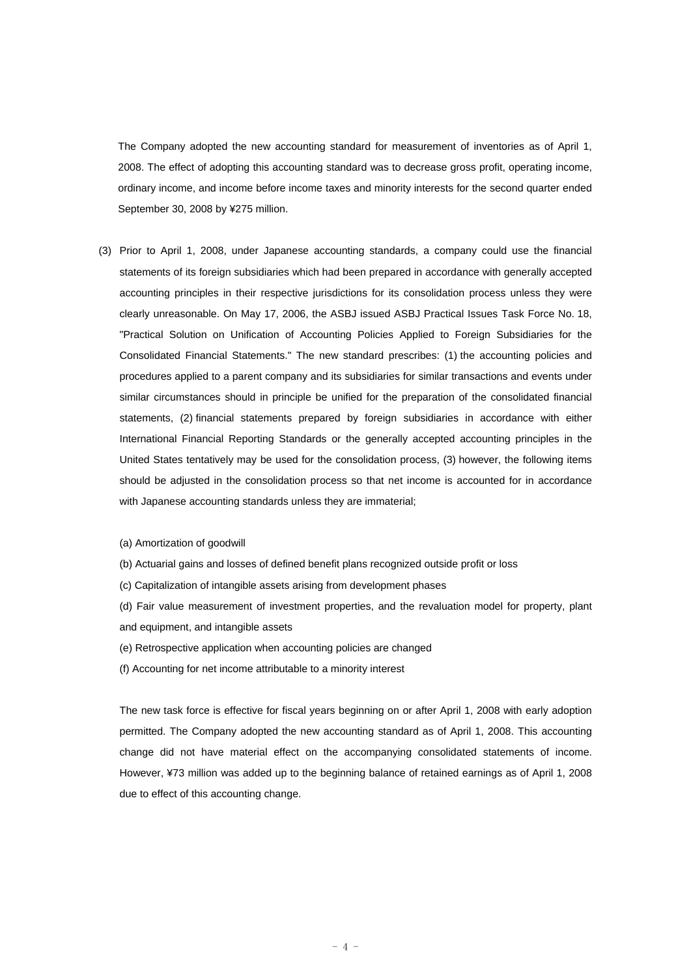The Company adopted the new accounting standard for measurement of inventories as of April 1, 2008. The effect of adopting this accounting standard was to decrease gross profit, operating income, ordinary income, and income before income taxes and minority interests for the second quarter ended September 30, 2008 by ¥275 million.

- (3) Prior to April 1, 2008, under Japanese accounting standards, a company could use the financial statements of its foreign subsidiaries which had been prepared in accordance with generally accepted accounting principles in their respective jurisdictions for its consolidation process unless they were clearly unreasonable. On May 17, 2006, the ASBJ issued ASBJ Practical Issues Task Force No. 18, "Practical Solution on Unification of Accounting Policies Applied to Foreign Subsidiaries for the Consolidated Financial Statements." The new standard prescribes: (1) the accounting policies and procedures applied to a parent company and its subsidiaries for similar transactions and events under similar circumstances should in principle be unified for the preparation of the consolidated financial statements, (2) financial statements prepared by foreign subsidiaries in accordance with either International Financial Reporting Standards or the generally accepted accounting principles in the United States tentatively may be used for the consolidation process, (3) however, the following items should be adjusted in the consolidation process so that net income is accounted for in accordance with Japanese accounting standards unless they are immaterial;
	- (a) Amortization of goodwill
	- (b) Actuarial gains and losses of defined benefit plans recognized outside profit or loss
	- (c) Capitalization of intangible assets arising from development phases
	- (d) Fair value measurement of investment properties, and the revaluation model for property, plant and equipment, and intangible assets
	- (e) Retrospective application when accounting policies are changed
	- (f) Accounting for net income attributable to a minority interest

The new task force is effective for fiscal years beginning on or after April 1, 2008 with early adoption permitted. The Company adopted the new accounting standard as of April 1, 2008. This accounting change did not have material effect on the accompanying consolidated statements of income. However, ¥73 million was added up to the beginning balance of retained earnings as of April 1, 2008 due to effect of this accounting change.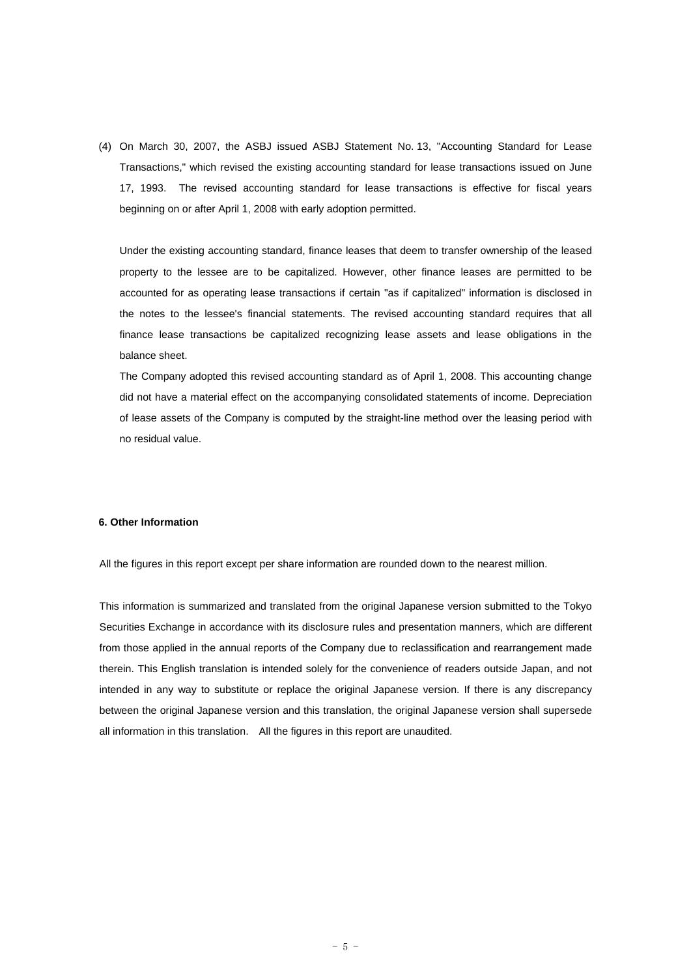(4) On March 30, 2007, the ASBJ issued ASBJ Statement No. 13, "Accounting Standard for Lease Transactions," which revised the existing accounting standard for lease transactions issued on June 17, 1993. The revised accounting standard for lease transactions is effective for fiscal years beginning on or after April 1, 2008 with early adoption permitted.

Under the existing accounting standard, finance leases that deem to transfer ownership of the leased property to the lessee are to be capitalized. However, other finance leases are permitted to be accounted for as operating lease transactions if certain "as if capitalized" information is disclosed in the notes to the lessee's financial statements. The revised accounting standard requires that all finance lease transactions be capitalized recognizing lease assets and lease obligations in the balance sheet.

The Company adopted this revised accounting standard as of April 1, 2008. This accounting change did not have a material effect on the accompanying consolidated statements of income. Depreciation of lease assets of the Company is computed by the straight-line method over the leasing period with no residual value.

### **6. Other Information**

All the figures in this report except per share information are rounded down to the nearest million.

This information is summarized and translated from the original Japanese version submitted to the Tokyo Securities Exchange in accordance with its disclosure rules and presentation manners, which are different from those applied in the annual reports of the Company due to reclassification and rearrangement made therein. This English translation is intended solely for the convenience of readers outside Japan, and not intended in any way to substitute or replace the original Japanese version. If there is any discrepancy between the original Japanese version and this translation, the original Japanese version shall supersede all information in this translation. All the figures in this report are unaudited.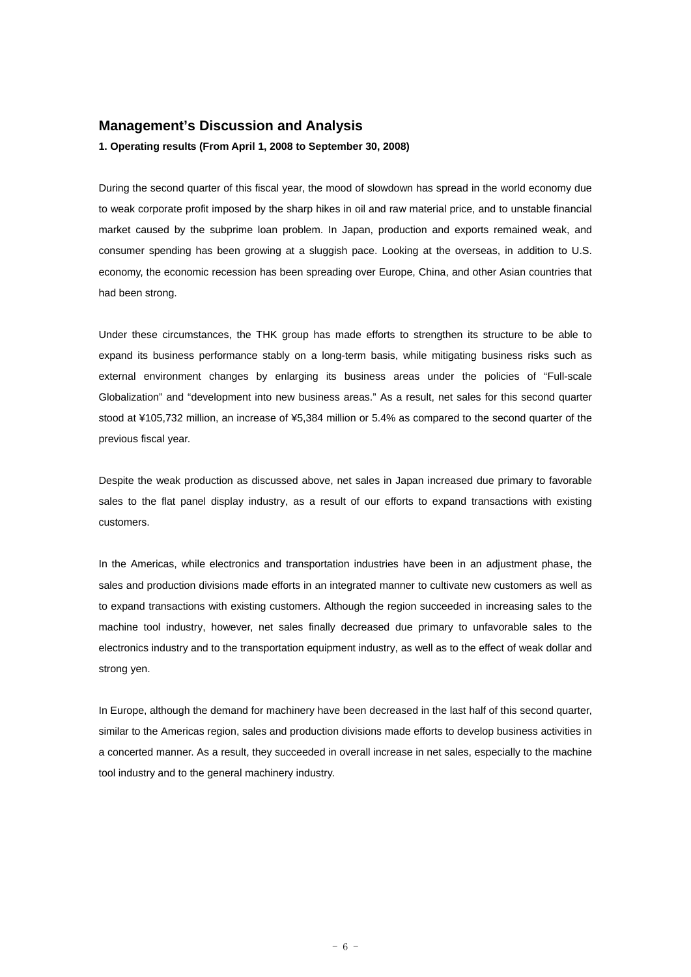# **Management's Discussion and Analysis**

**1. Operating results (From April 1, 2008 to September 30, 2008)** 

During the second quarter of this fiscal year, the mood of slowdown has spread in the world economy due to weak corporate profit imposed by the sharp hikes in oil and raw material price, and to unstable financial market caused by the subprime loan problem. In Japan, production and exports remained weak, and consumer spending has been growing at a sluggish pace. Looking at the overseas, in addition to U.S. economy, the economic recession has been spreading over Europe, China, and other Asian countries that had been strong.

Under these circumstances, the THK group has made efforts to strengthen its structure to be able to expand its business performance stably on a long-term basis, while mitigating business risks such as external environment changes by enlarging its business areas under the policies of "Full-scale Globalization" and "development into new business areas." As a result, net sales for this second quarter stood at ¥105,732 million, an increase of ¥5,384 million or 5.4% as compared to the second quarter of the previous fiscal year.

Despite the weak production as discussed above, net sales in Japan increased due primary to favorable sales to the flat panel display industry, as a result of our efforts to expand transactions with existing customers.

In the Americas, while electronics and transportation industries have been in an adjustment phase, the sales and production divisions made efforts in an integrated manner to cultivate new customers as well as to expand transactions with existing customers. Although the region succeeded in increasing sales to the machine tool industry, however, net sales finally decreased due primary to unfavorable sales to the electronics industry and to the transportation equipment industry, as well as to the effect of weak dollar and strong yen.

In Europe, although the demand for machinery have been decreased in the last half of this second quarter, similar to the Americas region, sales and production divisions made efforts to develop business activities in a concerted manner. As a result, they succeeded in overall increase in net sales, especially to the machine tool industry and to the general machinery industry.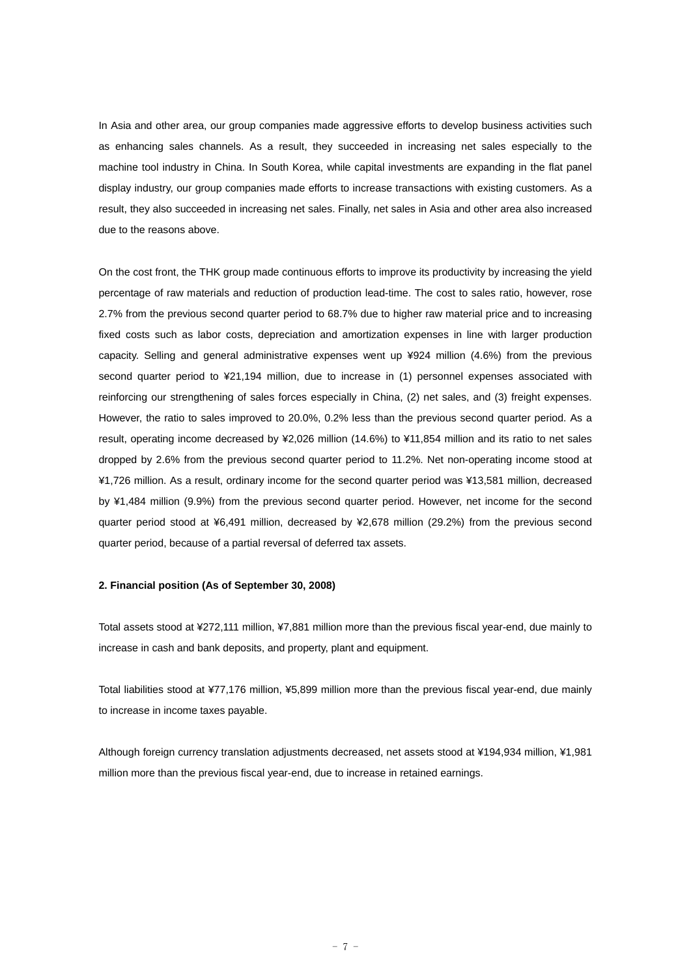In Asia and other area, our group companies made aggressive efforts to develop business activities such as enhancing sales channels. As a result, they succeeded in increasing net sales especially to the machine tool industry in China. In South Korea, while capital investments are expanding in the flat panel display industry, our group companies made efforts to increase transactions with existing customers. As a result, they also succeeded in increasing net sales. Finally, net sales in Asia and other area also increased due to the reasons above.

On the cost front, the THK group made continuous efforts to improve its productivity by increasing the yield percentage of raw materials and reduction of production lead-time. The cost to sales ratio, however, rose 2.7% from the previous second quarter period to 68.7% due to higher raw material price and to increasing fixed costs such as labor costs, depreciation and amortization expenses in line with larger production capacity. Selling and general administrative expenses went up ¥924 million (4.6%) from the previous second quarter period to ¥21,194 million, due to increase in (1) personnel expenses associated with reinforcing our strengthening of sales forces especially in China, (2) net sales, and (3) freight expenses. However, the ratio to sales improved to 20.0%, 0.2% less than the previous second quarter period. As a result, operating income decreased by ¥2,026 million (14.6%) to ¥11,854 million and its ratio to net sales dropped by 2.6% from the previous second quarter period to 11.2%. Net non-operating income stood at ¥1,726 million. As a result, ordinary income for the second quarter period was ¥13,581 million, decreased by ¥1,484 million (9.9%) from the previous second quarter period. However, net income for the second quarter period stood at ¥6,491 million, decreased by ¥2,678 million (29.2%) from the previous second quarter period, because of a partial reversal of deferred tax assets.

#### **2. Financial position (As of September 30, 2008)**

Total assets stood at ¥272,111 million, ¥7,881 million more than the previous fiscal year-end, due mainly to increase in cash and bank deposits, and property, plant and equipment.

Total liabilities stood at ¥77,176 million, ¥5,899 million more than the previous fiscal year-end, due mainly to increase in income taxes payable.

Although foreign currency translation adjustments decreased, net assets stood at ¥194,934 million, ¥1,981 million more than the previous fiscal year-end, due to increase in retained earnings.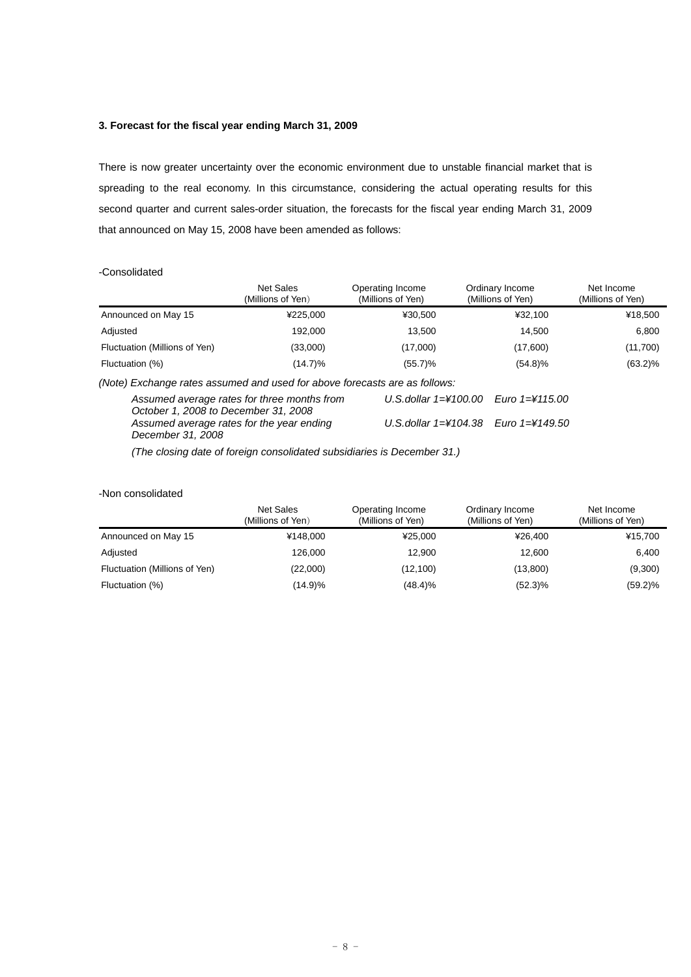# **3. Forecast for the fiscal year ending March 31, 2009**

There is now greater uncertainty over the economic environment due to unstable financial market that is spreading to the real economy. In this circumstance, considering the actual operating results for this second quarter and current sales-order situation, the forecasts for the fiscal year ending March 31, 2009 that announced on May 15, 2008 have been amended as follows:

#### -Consolidated

|                                                                            | Net Sales<br>(Millions of Yen)              | Operating Income<br>(Millions of Yen) | Ordinary Income<br>(Millions of Yen) | Net Income<br>(Millions of Yen) |
|----------------------------------------------------------------------------|---------------------------------------------|---------------------------------------|--------------------------------------|---------------------------------|
| Announced on May 15                                                        | ¥225.000                                    | ¥30.500                               | ¥32.100                              | ¥18,500                         |
| Adjusted                                                                   | 192,000                                     | 13,500                                | 14,500                               | 6,800                           |
| Fluctuation (Millions of Yen)                                              | (33,000)                                    | (17,000)                              | (17,600)                             | (11,700)                        |
| Fluctuation (%)                                                            | (14.7)%                                     | (55.7)%                               | $(54.8)\%$                           | $(63.2)\%$                      |
| (Note) Exchange rates assumed and used for above forecasts are as follows: |                                             |                                       |                                      |                                 |
| October 1, 2008 to December 31, 2008                                       | Assumed average rates for three months from | U.S.dollar $1=\nless 100.00$          | Euro 1=¥115.00                       |                                 |

*Assumed average rates for the year ending December 31, 2008 U.S.dollar 1=¥104.38 Euro 1=¥149.50* 

*(The closing date of foreign consolidated subsidiaries is December 31.)* 

# -Non consolidated

|                               | <b>Net Sales</b><br>(Millions of Yen) | Operating Income<br>(Millions of Yen) | Ordinary Income<br>(Millions of Yen) | Net Income<br>(Millions of Yen) |
|-------------------------------|---------------------------------------|---------------------------------------|--------------------------------------|---------------------------------|
| Announced on May 15           | ¥148.000                              | ¥25.000                               | ¥26.400                              | ¥15,700                         |
| Adjusted                      | 126,000                               | 12.900                                | 12.600                               | 6,400                           |
| Fluctuation (Millions of Yen) | (22,000)                              | (12,100)                              | (13,800)                             | (9,300)                         |
| Fluctuation (%)               | (14.9)%                               | (48.4)%                               | $(52.3)\%$                           | $(59.2)\%$                      |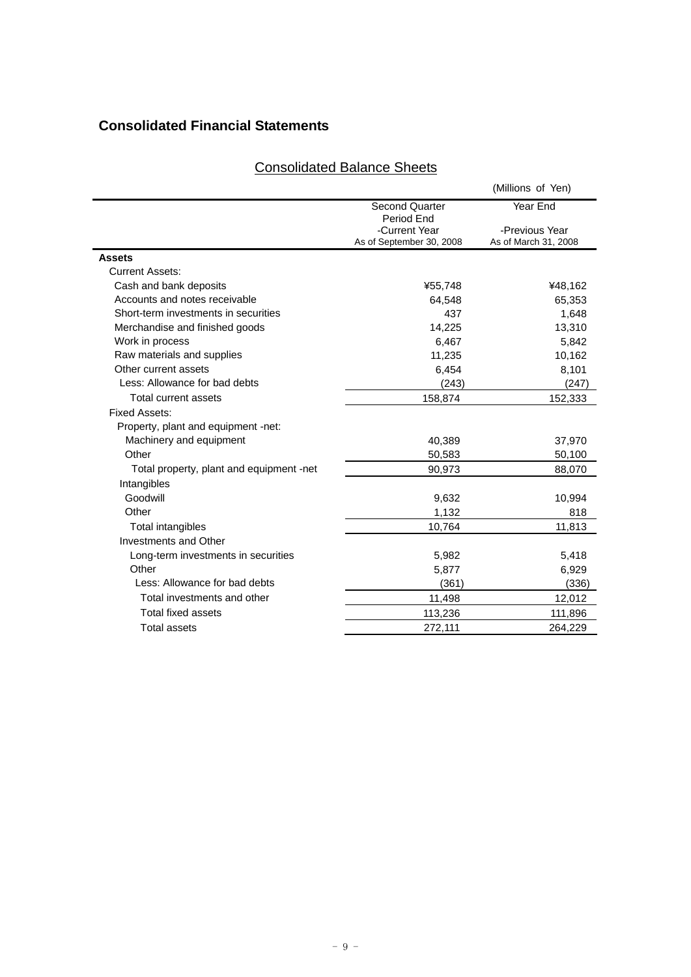# **Consolidated Financial Statements**

|--|

|                                          |                                                         | (Millions of Yen)                      |
|------------------------------------------|---------------------------------------------------------|----------------------------------------|
|                                          | <b>Second Quarter</b>                                   | Year End                               |
|                                          | Period End<br>-Current Year<br>As of September 30, 2008 | -Previous Year<br>As of March 31, 2008 |
| Assets                                   |                                                         |                                        |
| <b>Current Assets:</b>                   |                                                         |                                        |
| Cash and bank deposits                   | ¥55,748                                                 | ¥48,162                                |
| Accounts and notes receivable            | 64,548                                                  | 65,353                                 |
| Short-term investments in securities     | 437                                                     | 1,648                                  |
| Merchandise and finished goods           | 14,225                                                  | 13,310                                 |
| Work in process                          | 6,467                                                   | 5,842                                  |
| Raw materials and supplies               | 11,235                                                  | 10,162                                 |
| Other current assets                     | 6,454                                                   | 8,101                                  |
| Less: Allowance for bad debts            | (243)                                                   | (247)                                  |
| Total current assets                     | 158,874                                                 | 152,333                                |
| <b>Fixed Assets:</b>                     |                                                         |                                        |
| Property, plant and equipment -net:      |                                                         |                                        |
| Machinery and equipment                  | 40,389                                                  | 37,970                                 |
| Other                                    | 50,583                                                  | 50,100                                 |
| Total property, plant and equipment -net | 90,973                                                  | 88,070                                 |
| Intangibles                              |                                                         |                                        |
| Goodwill                                 | 9,632                                                   | 10,994                                 |
| Other                                    | 1,132                                                   | 818                                    |
| Total intangibles                        | 10,764                                                  | 11,813                                 |
| Investments and Other                    |                                                         |                                        |
| Long-term investments in securities      | 5,982                                                   | 5,418                                  |
| Other                                    | 5,877                                                   | 6,929                                  |
| Less: Allowance for bad debts            | (361)                                                   | (336)                                  |
| Total investments and other              | 11,498                                                  | 12,012                                 |
| <b>Total fixed assets</b>                | 113,236                                                 | 111,896                                |
| <b>Total assets</b>                      | 272.111                                                 | 264.229                                |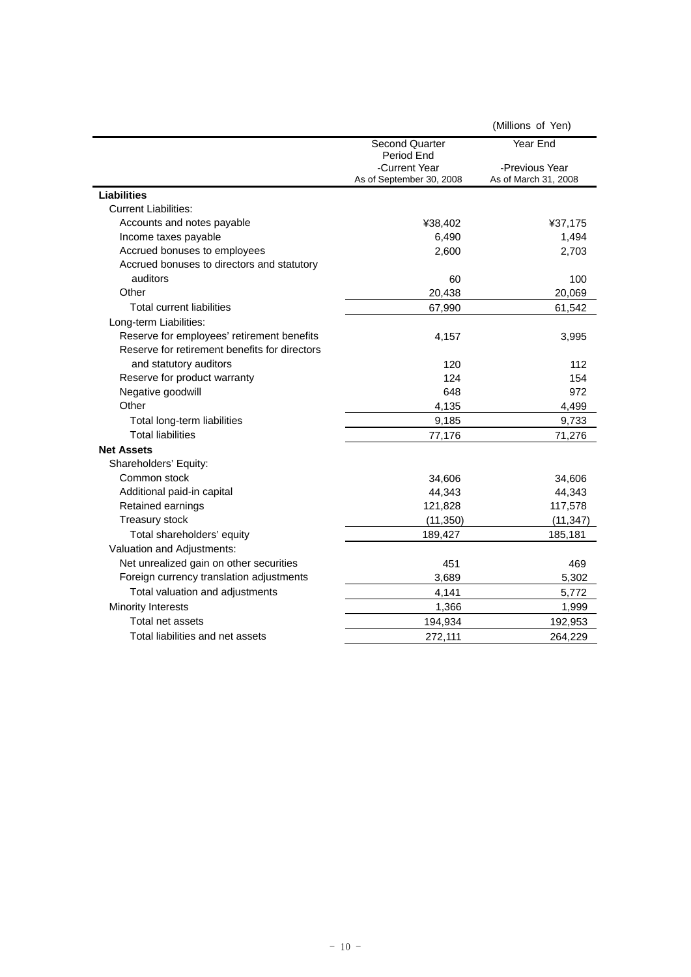|                                               |                                           | (Millions of Yen)                      |
|-----------------------------------------------|-------------------------------------------|----------------------------------------|
|                                               | <b>Second Quarter</b><br>Period End       | Year End                               |
|                                               | -Current Year<br>As of September 30, 2008 | -Previous Year<br>As of March 31, 2008 |
| <b>Liabilities</b>                            |                                           |                                        |
| <b>Current Liabilities:</b>                   |                                           |                                        |
| Accounts and notes payable                    | ¥38,402                                   | ¥37,175                                |
| Income taxes payable                          | 6,490                                     | 1,494                                  |
| Accrued bonuses to employees                  | 2,600                                     | 2,703                                  |
| Accrued bonuses to directors and statutory    |                                           |                                        |
| auditors                                      | 60                                        | 100                                    |
| Other                                         | 20,438                                    | 20,069                                 |
| <b>Total current liabilities</b>              | 67,990                                    | 61,542                                 |
| Long-term Liabilities:                        |                                           |                                        |
| Reserve for employees' retirement benefits    | 4,157                                     | 3,995                                  |
| Reserve for retirement benefits for directors |                                           |                                        |
| and statutory auditors                        | 120                                       | 112                                    |
| Reserve for product warranty                  | 124                                       | 154                                    |
| Negative goodwill                             | 648                                       | 972                                    |
| Other                                         | 4,135                                     | 4,499                                  |
| Total long-term liabilities                   | 9,185                                     | 9,733                                  |
| <b>Total liabilities</b>                      | 77,176                                    | 71,276                                 |
| <b>Net Assets</b>                             |                                           |                                        |
| Shareholders' Equity:                         |                                           |                                        |
| Common stock                                  | 34,606                                    | 34,606                                 |
| Additional paid-in capital                    | 44,343                                    | 44,343                                 |
| Retained earnings                             | 121,828                                   | 117,578                                |
| Treasury stock                                | (11, 350)                                 | (11, 347)                              |
| Total shareholders' equity                    | 189,427                                   | 185,181                                |
| Valuation and Adjustments:                    |                                           |                                        |
| Net unrealized gain on other securities       | 451                                       | 469                                    |
| Foreign currency translation adjustments      | 3,689                                     | 5,302                                  |
| Total valuation and adjustments               | 4,141                                     | 5,772                                  |
| <b>Minority Interests</b>                     | 1,366                                     | 1,999                                  |
| Total net assets                              | 194,934                                   | 192,953                                |
| Total liabilities and net assets              | 272,111                                   | 264,229                                |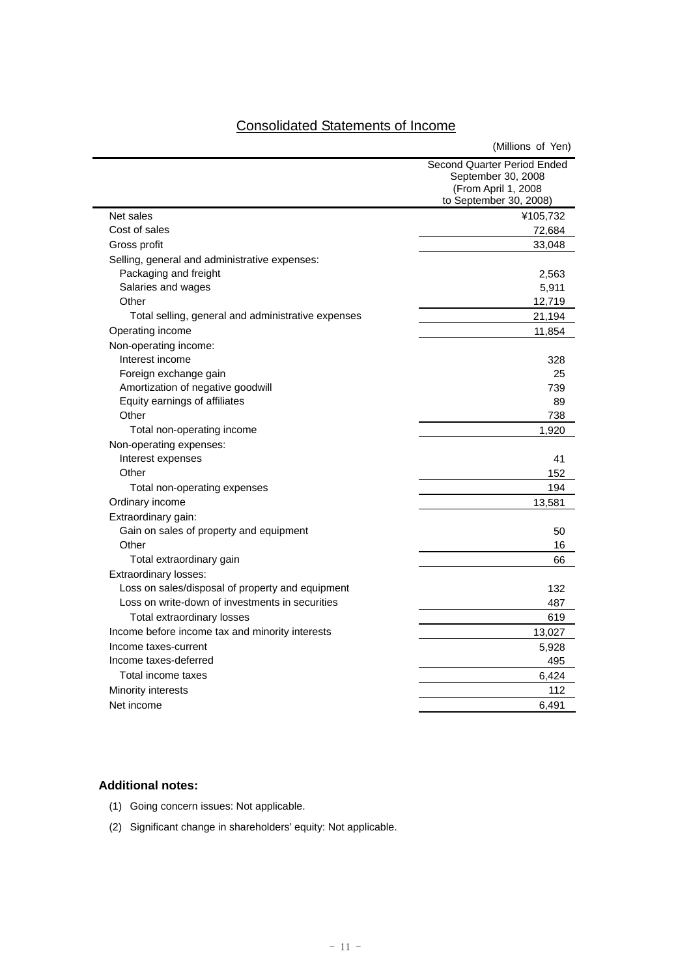| <b>Consolidated Statements of Income</b> |
|------------------------------------------|
|------------------------------------------|

|                                                    | (Millions of Yen)                                                        |  |  |  |
|----------------------------------------------------|--------------------------------------------------------------------------|--|--|--|
|                                                    | Second Quarter Period Ended<br>September 30, 2008<br>(From April 1, 2008 |  |  |  |
| Net sales                                          | to September 30, 2008)                                                   |  |  |  |
| Cost of sales                                      | ¥105,732<br>72,684                                                       |  |  |  |
| Gross profit                                       | 33,048                                                                   |  |  |  |
| Selling, general and administrative expenses:      |                                                                          |  |  |  |
| Packaging and freight                              | 2,563                                                                    |  |  |  |
| Salaries and wages                                 | 5,911                                                                    |  |  |  |
| Other                                              | 12,719                                                                   |  |  |  |
| Total selling, general and administrative expenses | 21,194                                                                   |  |  |  |
| Operating income                                   | 11,854                                                                   |  |  |  |
| Non-operating income:                              |                                                                          |  |  |  |
| Interest income                                    | 328                                                                      |  |  |  |
| Foreign exchange gain                              | 25                                                                       |  |  |  |
| Amortization of negative goodwill                  | 739                                                                      |  |  |  |
| Equity earnings of affiliates                      | 89                                                                       |  |  |  |
| Other                                              | 738                                                                      |  |  |  |
| Total non-operating income                         | 1,920                                                                    |  |  |  |
| Non-operating expenses:                            |                                                                          |  |  |  |
| Interest expenses                                  | 41                                                                       |  |  |  |
| Other                                              | 152                                                                      |  |  |  |
| Total non-operating expenses                       | 194                                                                      |  |  |  |
| Ordinary income                                    | 13,581                                                                   |  |  |  |
| Extraordinary gain:                                |                                                                          |  |  |  |
| Gain on sales of property and equipment            | 50                                                                       |  |  |  |
| Other                                              | 16                                                                       |  |  |  |
| Total extraordinary gain                           | 66                                                                       |  |  |  |
| <b>Extraordinary losses:</b>                       |                                                                          |  |  |  |
| Loss on sales/disposal of property and equipment   | 132                                                                      |  |  |  |
| Loss on write-down of investments in securities    | 487                                                                      |  |  |  |
| Total extraordinary losses                         | 619                                                                      |  |  |  |
| Income before income tax and minority interests    | 13,027                                                                   |  |  |  |
| Income taxes-current                               | 5,928                                                                    |  |  |  |
| Income taxes-deferred                              | 495                                                                      |  |  |  |
| Total income taxes                                 | 6,424                                                                    |  |  |  |
| Minority interests                                 | 112                                                                      |  |  |  |
| Net income                                         | 6,491                                                                    |  |  |  |

# **Additional notes:**

 $\overline{\phantom{0}}$ 

- (1) Going concern issues: Not applicable.
- (2) Significant change in shareholders' equity: Not applicable.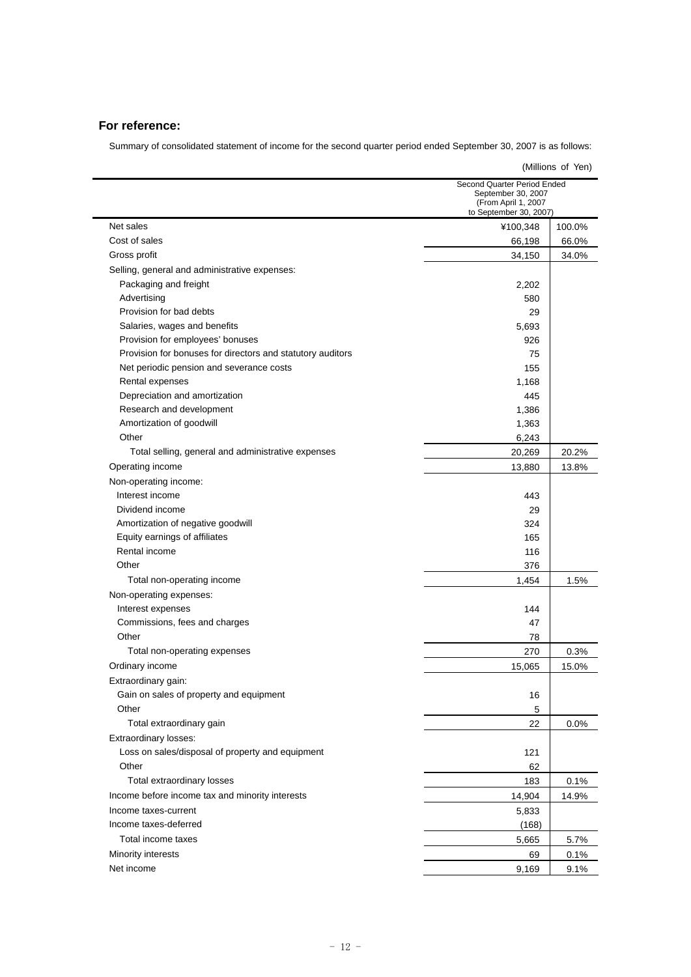# **For reference:**

Summary of consolidated statement of income for the second quarter period ended September 30, 2007 is as follows:

| (Millions of Yen)                                          |                                                                                                    |        |  |  |
|------------------------------------------------------------|----------------------------------------------------------------------------------------------------|--------|--|--|
|                                                            | Second Quarter Period Ended<br>September 30, 2007<br>(From April 1, 2007<br>to September 30, 2007) |        |  |  |
| Net sales                                                  | ¥100,348                                                                                           | 100.0% |  |  |
| Cost of sales                                              | 66,198                                                                                             | 66.0%  |  |  |
| Gross profit                                               | 34,150                                                                                             | 34.0%  |  |  |
| Selling, general and administrative expenses:              |                                                                                                    |        |  |  |
| Packaging and freight                                      | 2,202                                                                                              |        |  |  |
| Advertising                                                | 580                                                                                                |        |  |  |
| Provision for bad debts                                    | 29                                                                                                 |        |  |  |
| Salaries, wages and benefits                               | 5,693                                                                                              |        |  |  |
| Provision for employees' bonuses                           | 926                                                                                                |        |  |  |
| Provision for bonuses for directors and statutory auditors | 75                                                                                                 |        |  |  |
| Net periodic pension and severance costs                   | 155                                                                                                |        |  |  |
| Rental expenses                                            | 1,168                                                                                              |        |  |  |
| Depreciation and amortization                              | 445                                                                                                |        |  |  |
| Research and development                                   | 1,386                                                                                              |        |  |  |
| Amortization of goodwill                                   | 1,363                                                                                              |        |  |  |
| Other                                                      | 6,243                                                                                              |        |  |  |
| Total selling, general and administrative expenses         | 20,269                                                                                             | 20.2%  |  |  |
| Operating income                                           | 13,880                                                                                             | 13.8%  |  |  |
| Non-operating income:                                      |                                                                                                    |        |  |  |
| Interest income                                            | 443                                                                                                |        |  |  |
| Dividend income                                            | 29                                                                                                 |        |  |  |
| Amortization of negative goodwill                          | 324                                                                                                |        |  |  |
| Equity earnings of affiliates                              | 165                                                                                                |        |  |  |
| Rental income                                              | 116                                                                                                |        |  |  |
| Other                                                      | 376                                                                                                |        |  |  |
| Total non-operating income                                 | 1,454                                                                                              | 1.5%   |  |  |
| Non-operating expenses:                                    |                                                                                                    |        |  |  |
| Interest expenses                                          | 144                                                                                                |        |  |  |
| Commissions, fees and charges                              | 47                                                                                                 |        |  |  |
| Other                                                      | 78                                                                                                 |        |  |  |
| Total non-operating expenses                               | 270                                                                                                | 0.3%   |  |  |
| Ordinary income                                            | 15,065                                                                                             | 15.0%  |  |  |
| Extraordinary gain:                                        |                                                                                                    |        |  |  |
| Gain on sales of property and equipment                    | 16                                                                                                 |        |  |  |
| Other                                                      | 5                                                                                                  |        |  |  |
| Total extraordinary gain                                   | 22                                                                                                 | 0.0%   |  |  |
| Extraordinary losses:                                      |                                                                                                    |        |  |  |
| Loss on sales/disposal of property and equipment           | 121                                                                                                |        |  |  |
| Other                                                      | 62                                                                                                 |        |  |  |
| Total extraordinary losses                                 | 183                                                                                                | 0.1%   |  |  |
| Income before income tax and minority interests            | 14,904                                                                                             | 14.9%  |  |  |
| Income taxes-current                                       | 5,833                                                                                              |        |  |  |
| Income taxes-deferred                                      | (168)                                                                                              |        |  |  |
| Total income taxes                                         | 5,665                                                                                              | 5.7%   |  |  |
| Minority interests                                         | 69                                                                                                 | 0.1%   |  |  |
| Net income                                                 | 9,169                                                                                              | 9.1%   |  |  |
|                                                            |                                                                                                    |        |  |  |